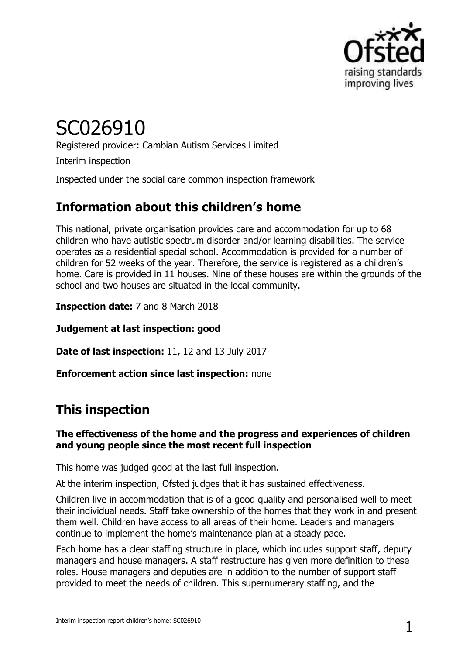

# SC026910

Registered provider: Cambian Autism Services Limited Interim inspection

Inspected under the social care common inspection framework

## **Information about this children's home**

This national, private organisation provides care and accommodation for up to 68 children who have autistic spectrum disorder and/or learning disabilities. The service operates as a residential special school. Accommodation is provided for a number of children for 52 weeks of the year. Therefore, the service is registered as a children's home. Care is provided in 11 houses. Nine of these houses are within the grounds of the school and two houses are situated in the local community.

**Inspection date:** 7 and 8 March 2018

**Judgement at last inspection: good**

**Date of last inspection:** 11, 12 and 13 July 2017

**Enforcement action since last inspection:** none

# **This inspection**

#### **The effectiveness of the home and the progress and experiences of children and young people since the most recent full inspection**

This home was judged good at the last full inspection.

At the interim inspection, Ofsted judges that it has sustained effectiveness.

Children live in accommodation that is of a good quality and personalised well to meet their individual needs. Staff take ownership of the homes that they work in and present them well. Children have access to all areas of their home. Leaders and managers continue to implement the home's maintenance plan at a steady pace.

Each home has a clear staffing structure in place, which includes support staff, deputy managers and house managers. A staff restructure has given more definition to these roles. House managers and deputies are in addition to the number of support staff provided to meet the needs of children. This supernumerary staffing, and the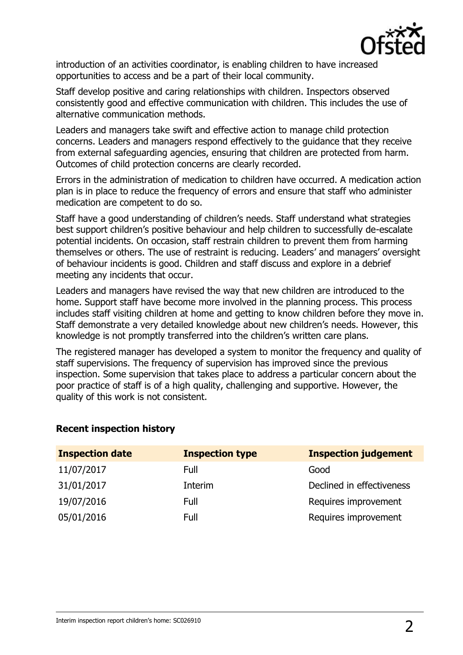

introduction of an activities coordinator, is enabling children to have increased opportunities to access and be a part of their local community.

Staff develop positive and caring relationships with children. Inspectors observed consistently good and effective communication with children. This includes the use of alternative communication methods.

Leaders and managers take swift and effective action to manage child protection concerns. Leaders and managers respond effectively to the guidance that they receive from external safeguarding agencies, ensuring that children are protected from harm. Outcomes of child protection concerns are clearly recorded.

Errors in the administration of medication to children have occurred. A medication action plan is in place to reduce the frequency of errors and ensure that staff who administer medication are competent to do so.

Staff have a good understanding of children's needs. Staff understand what strategies best support children's positive behaviour and help children to successfully de-escalate potential incidents. On occasion, staff restrain children to prevent them from harming themselves or others. The use of restraint is reducing. Leaders' and managers' oversight of behaviour incidents is good. Children and staff discuss and explore in a debrief meeting any incidents that occur.

Leaders and managers have revised the way that new children are introduced to the home. Support staff have become more involved in the planning process. This process includes staff visiting children at home and getting to know children before they move in. Staff demonstrate a very detailed knowledge about new children's needs. However, this knowledge is not promptly transferred into the children's written care plans.

The registered manager has developed a system to monitor the frequency and quality of staff supervisions. The frequency of supervision has improved since the previous inspection. Some supervision that takes place to address a particular concern about the poor practice of staff is of a high quality, challenging and supportive. However, the quality of this work is not consistent.

#### **Recent inspection history**

| <b>Inspection date</b> | <b>Inspection type</b> | <b>Inspection judgement</b> |
|------------------------|------------------------|-----------------------------|
| 11/07/2017             | Full                   | Good                        |
| 31/01/2017             | Interim                | Declined in effectiveness   |
| 19/07/2016             | Full                   | Requires improvement        |
| 05/01/2016             | Full                   | Requires improvement        |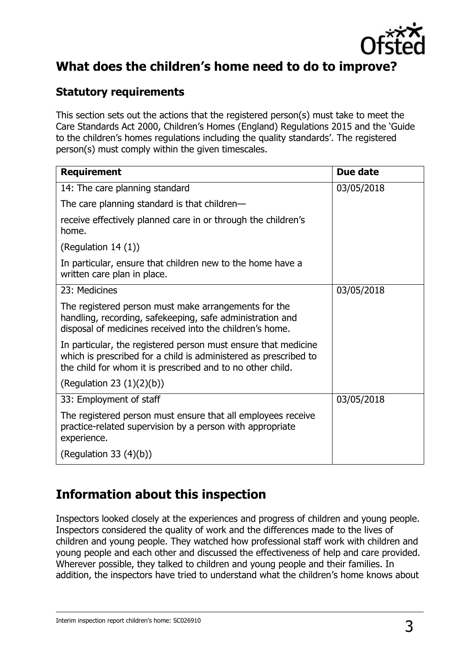

## **What does the children's home need to do to improve?**

#### **Statutory requirements**

This section sets out the actions that the registered person(s) must take to meet the Care Standards Act 2000, Children's Homes (England) Regulations 2015 and the 'Guide to the children's homes regulations including the quality standards'. The registered person(s) must comply within the given timescales.

| <b>Requirement</b>                                                                                                                                                                               | Due date   |
|--------------------------------------------------------------------------------------------------------------------------------------------------------------------------------------------------|------------|
| 14: The care planning standard                                                                                                                                                                   | 03/05/2018 |
| The care planning standard is that children-                                                                                                                                                     |            |
| receive effectively planned care in or through the children's<br>home.                                                                                                                           |            |
| (Regulation $14(1)$ )                                                                                                                                                                            |            |
| In particular, ensure that children new to the home have a<br>written care plan in place.                                                                                                        |            |
| 23: Medicines                                                                                                                                                                                    | 03/05/2018 |
| The registered person must make arrangements for the<br>handling, recording, safekeeping, safe administration and<br>disposal of medicines received into the children's home.                    |            |
| In particular, the registered person must ensure that medicine<br>which is prescribed for a child is administered as prescribed to<br>the child for whom it is prescribed and to no other child. |            |
| (Regulation 23 $(1)(2)(b)$ )                                                                                                                                                                     |            |
| 33: Employment of staff                                                                                                                                                                          | 03/05/2018 |
| The registered person must ensure that all employees receive<br>practice-related supervision by a person with appropriate<br>experience.                                                         |            |
| (Regulation 33 $(4)(b)$ )                                                                                                                                                                        |            |

## **Information about this inspection**

Inspectors looked closely at the experiences and progress of children and young people. Inspectors considered the quality of work and the differences made to the lives of children and young people. They watched how professional staff work with children and young people and each other and discussed the effectiveness of help and care provided. Wherever possible, they talked to children and young people and their families. In addition, the inspectors have tried to understand what the children's home knows about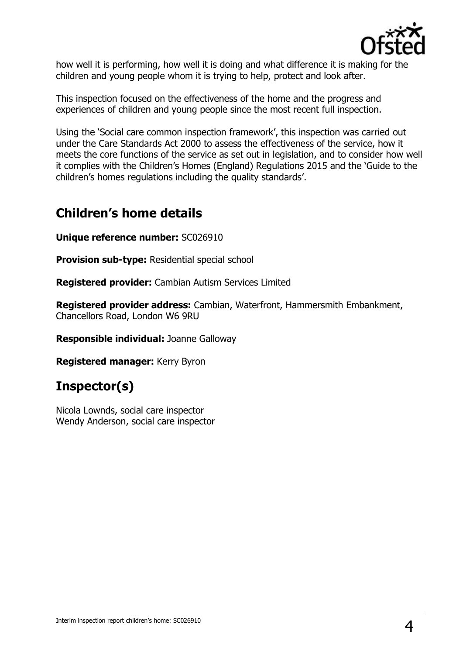

how well it is performing, how well it is doing and what difference it is making for the children and young people whom it is trying to help, protect and look after.

This inspection focused on the effectiveness of the home and the progress and experiences of children and young people since the most recent full inspection.

Using the 'Social care common inspection framework', this inspection was carried out under the Care Standards Act 2000 to assess the effectiveness of the service, how it meets the core functions of the service as set out in legislation, and to consider how well it complies with the Children's Homes (England) Regulations 2015 and the 'Guide to the children's homes regulations including the quality standards'.

#### **Children's home details**

**Unique reference number:** SC026910

**Provision sub-type:** Residential special school

**Registered provider:** Cambian Autism Services Limited

**Registered provider address:** Cambian, Waterfront, Hammersmith Embankment, Chancellors Road, London W6 9RU

**Responsible individual:** Joanne Galloway

**Registered manager:** Kerry Byron

# **Inspector(s)**

Nicola Lownds, social care inspector Wendy Anderson, social care inspector